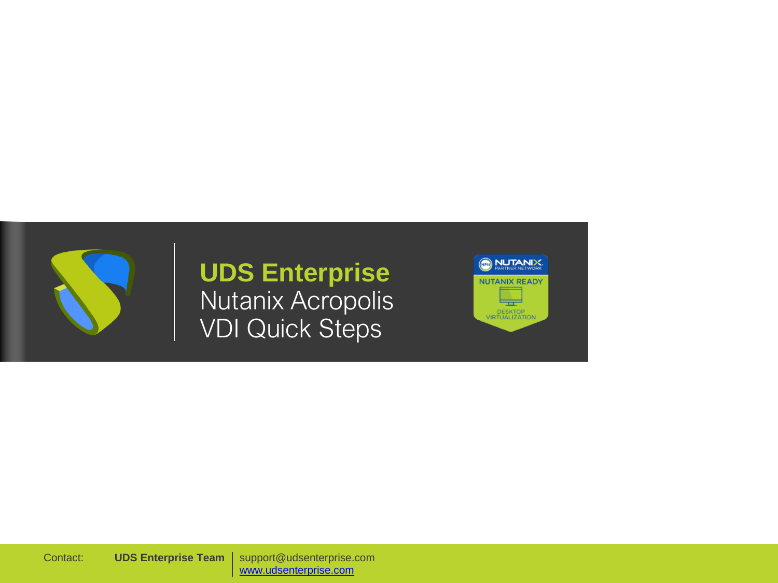

# **UDS Enterprise** Nutanix Acropolis VDI Quick Steps



support@udsenterprise.com [www.udsenterprise.com](https://www.udsenterprise.com/) Contact: **UDS Enterprise Team**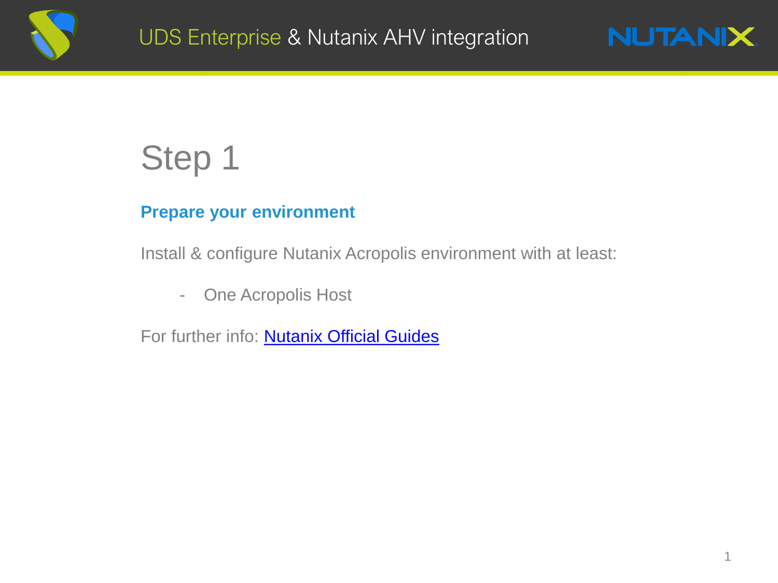



# Step 1

# **Prepare your environment**

Install & configure Nutanix Acropolis environment with at least:

- One Acropolis Host

For further info: **Nutanix Official Guides**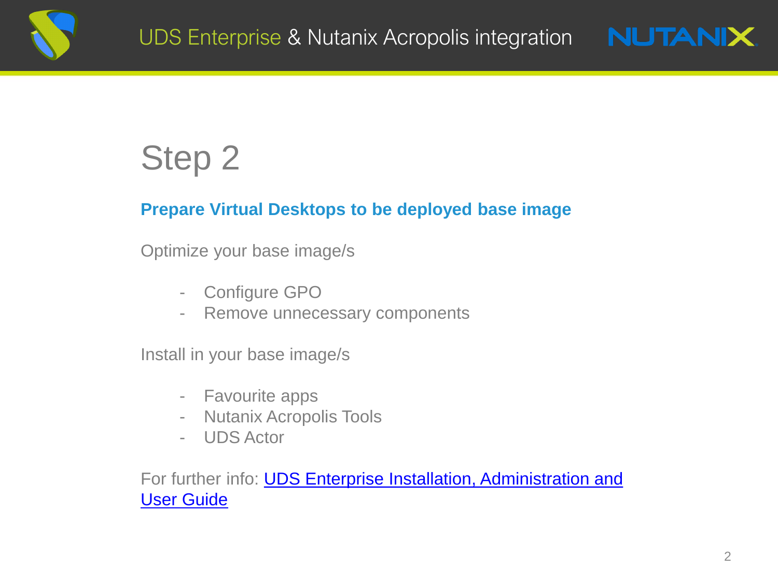



### **Prepare Virtual Desktops to be deployed base image**

Optimize your base image/s

- Configure GPO
- Remove unnecessary components

Install in your base image/s

- Favourite apps
- Nutanix Acropolis Tools
- UDS Actor

For further info: **UDS Enterprise Installation, Administration and** User Guide

**NUTANIX**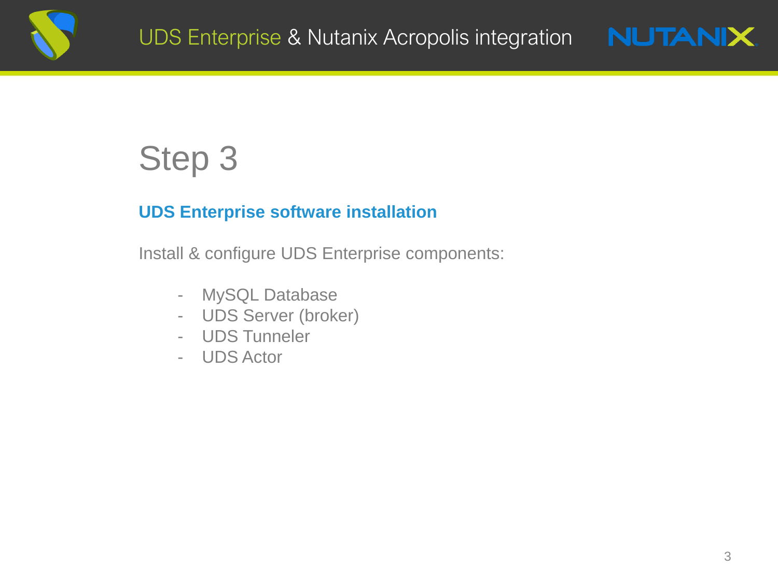



## **UDS Enterprise software installation**

Install & configure UDS Enterprise components:

- MySQL Database
- UDS Server (broker)
- UDS Tunneler
- UDS Actor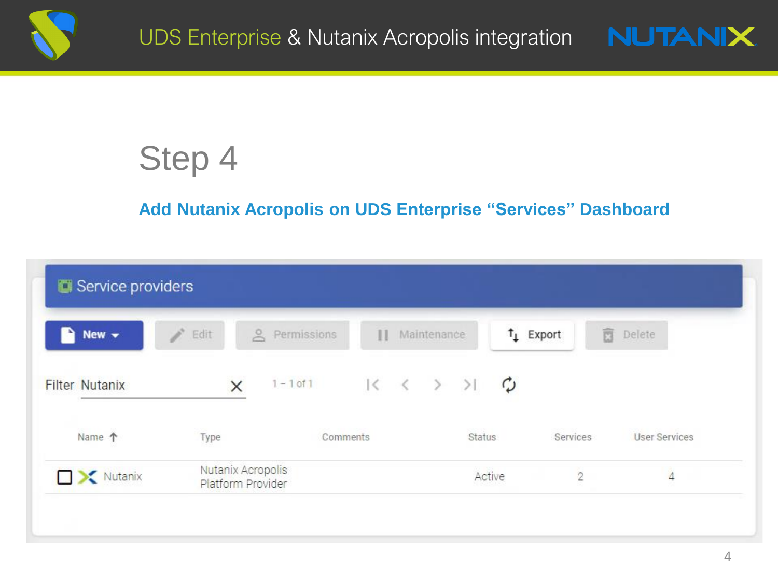



# **Add Nutanix Acropolis on UDS Enterprise "Services" Dashboard**

| New $\sim$<br>∍       | ì.<br>Edit                             | $\approx$<br>Permissions | П                                                   | Maintenance. | $t_{\perp}$ Export | 盲<br>Delete                |
|-----------------------|----------------------------------------|--------------------------|-----------------------------------------------------|--------------|--------------------|----------------------------|
| <b>Filter Nutanix</b> | ×                                      | $1 - 1$ of $1$           | $R \leftarrow \leftarrow \rightarrow \rightarrow R$ |              |                    |                            |
| Name 个                | Type                                   | Comments                 |                                                     | Status       | Services           | <b>User Services</b>       |
| Nutanix               | Nutanix Acropolis<br>Platform Provider |                          |                                                     | Active       |                    | $\Delta$<br>$\overline{2}$ |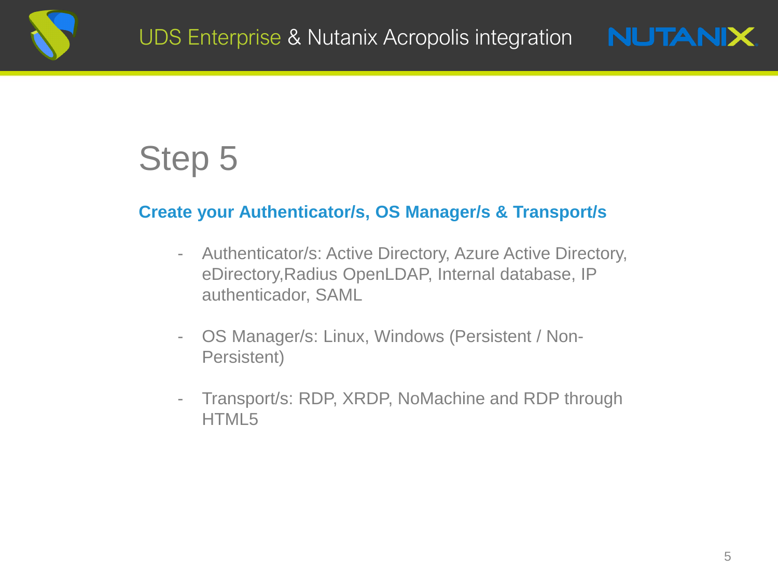



### **Create your Authenticator/s, OS Manager/s & Transport/s**

- Authenticator/s: Active Directory, Azure Active Directory, eDirectory,Radius OpenLDAP, Internal database, IP authenticador, SAML
- OS Manager/s: Linux, Windows (Persistent / Non-Persistent)
- Transport/s: RDP, XRDP, NoMachine and RDP through HTML5

**NUTANIX.**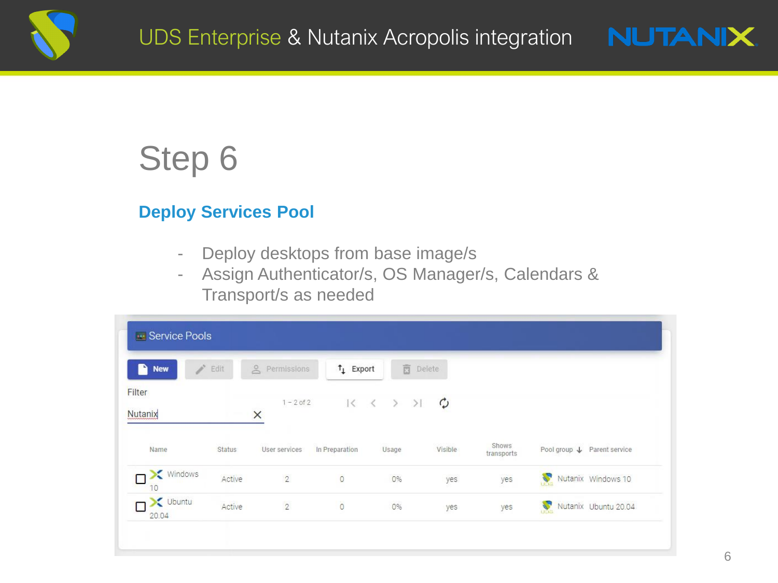



### **Deploy Services Pool**

- Deploy desktops from base image/s
- Assign Authenticator/s, OS Manager/s, Calendars & Transport/s as needed

| <b>SALES</b><br>n<br><b>New</b> | Edit          | e Permissions            | $\uparrow$ Export | <b>面</b> Delete                                 |               |                     |                             |                    |
|---------------------------------|---------------|--------------------------|-------------------|-------------------------------------------------|---------------|---------------------|-----------------------------|--------------------|
| Filter<br>Nutanix               |               | $1 - 2$ of 2<br>$\times$ |                   | $ \langle~~\langle~~\rangle~~\rangle~~\rangle $ | $\mathcal{C}$ |                     |                             |                    |
| Name                            | <b>Status</b> | User services            | In Preparation    | Usage                                           | Visible       | Shows<br>transports | Pool group ↓ Parent service |                    |
| Windows<br>10                   | Active        | $\overline{2}$           | $\overline{0}$    | 0%                                              | yes           | yes                 | X                           | Nutanix Windows 10 |
| $\sum$ Ubuntu<br>20.04          | Active        | $\overline{2}$           | $\overline{0}$    | 0%                                              | yes           | yes                 | Nutanix Ubuntu 20.04        |                    |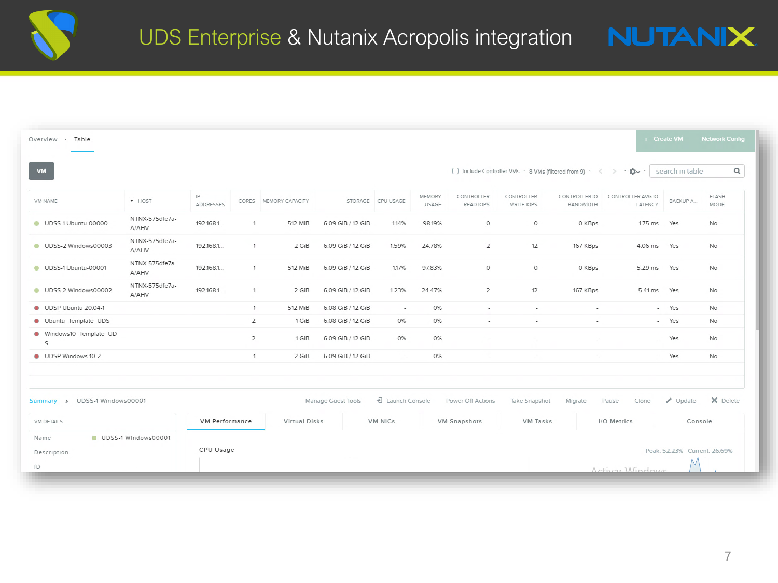| $\mathsf Q$<br>□ Include Controller VMs · 8 VMs (filtered from 9) · < > · ☆ ·<br>search in table<br>VM<br>FLASH<br>IP<br>MEMORY<br>CONTROLLER<br>CONTROLLER<br>CONTROLLER IO<br>CONTROLLER AVG IO<br>BACKUP A<br>VM NAME<br><b>*</b> HOST<br>CORES MEMORY CAPACITY<br>STORAGE CPU USAGE<br>ADDRESSES<br>READ IOPS<br>MODE<br><b>USAGE</b><br>WRITE IOPS<br><b>BANDWIDTH</b><br>LATENCY<br>NTNX-575dfe7a-<br>UDSS-1 Ubuntu-00000<br>192.168.1<br>512 MiB<br>6.09 GiB / 12 GiB<br>1.14%<br>98.19%<br>$\circ$<br>$\circ$<br>0 KBps<br>1.75 ms<br>Yes<br>1<br>No<br>A/AHV<br>NTNX-575dfe7a-<br>$\overline{2}$<br>12<br>UDSS-2 Windows00003<br>192.168.1<br>2 GiB<br>6.09 GiB / 12 GiB<br>1.59%<br>24.78%<br>167 KBps<br>4.06 ms<br>Yes<br>-1<br><b>No</b><br>A/AHV<br>NTNX-575dfe7a-<br>192.168.1<br>1.17%<br>97.83%<br>UDSS-1 Ubuntu-00001<br>512 MiB<br>6.09 GiB / 12 GiB<br>$\circ$<br>$\circ$<br>0 KBps<br>5.29 ms<br>1<br>Yes<br>No<br>A/AHV<br>NTNX-575dfe7a-<br>1.23%<br>24.47%<br>12<br>UDSS-2 Windows00002<br>192.168.1<br>2 GiB<br>6.09 GiB / 12 GiB<br>$\overline{2}$<br>167 KBps<br>5.41 ms<br>Yes<br>1<br>No<br>A/AHV<br>UDSP Ubuntu 20.04-1<br>512 MiB<br>6.08 GiB / 12 GiB<br>0%<br>1<br>Yes<br>No.<br>$\sim$<br>$\sim$<br>$\sim$<br>$\sim$<br>$\overline{\phantom{a}}$<br>Ubuntu_Template_UDS<br>$\mathbf{2}$<br>1 GiB<br>6.08 GiB / 12 GiB<br>0%<br>0%<br>- Yes<br>No<br>$\sim$<br>$\sim$<br>$\overline{\phantom{a}}$<br>· Windows10_Template_UD<br>0%<br>2<br>6.09 GiB / 12 GiB<br>0%<br>1 GiB<br>Yes<br>No<br>$\sim$<br>$\tilde{\phantom{a}}$<br>S<br>UDSP Windows 10-2<br>1<br>6.09 GiB / 12 GiB<br>0%<br>No<br>2 GiB<br>- Yes<br>$\sim$<br>$\sim$<br>$\sim$<br>$\sim$<br>퀸 Launch Console<br>X Delete<br>Manage Guest Tools<br>$\n  Update\n$<br>Power Off Actions<br>Take Snapshot<br>Migrate<br>Clone<br>Pause<br>VM NICs<br>VM Tasks<br>I/O Metrics<br><b>VM Performance</b><br>Virtual Disks<br><b>VM Snapshots</b><br>VM DETAILS<br>Console<br>UDSS-1 Windows00001<br>Name<br>CPU Usage<br>Peak: 52.23% Current: 26.69%<br>Description | Overview · Table |  |  |  |  |  |  |  |  |  | + Create VM | <b>Network Config</b> |
|--------------------------------------------------------------------------------------------------------------------------------------------------------------------------------------------------------------------------------------------------------------------------------------------------------------------------------------------------------------------------------------------------------------------------------------------------------------------------------------------------------------------------------------------------------------------------------------------------------------------------------------------------------------------------------------------------------------------------------------------------------------------------------------------------------------------------------------------------------------------------------------------------------------------------------------------------------------------------------------------------------------------------------------------------------------------------------------------------------------------------------------------------------------------------------------------------------------------------------------------------------------------------------------------------------------------------------------------------------------------------------------------------------------------------------------------------------------------------------------------------------------------------------------------------------------------------------------------------------------------------------------------------------------------------------------------------------------------------------------------------------------------------------------------------------------------------------------------------------------------------------------------------------------------------------------------------------------------------------------------------------------------------------------------------------------|------------------|--|--|--|--|--|--|--|--|--|-------------|-----------------------|
|                                                                                                                                                                                                                                                                                                                                                                                                                                                                                                                                                                                                                                                                                                                                                                                                                                                                                                                                                                                                                                                                                                                                                                                                                                                                                                                                                                                                                                                                                                                                                                                                                                                                                                                                                                                                                                                                                                                                                                                                                                                              |                  |  |  |  |  |  |  |  |  |  |             |                       |
|                                                                                                                                                                                                                                                                                                                                                                                                                                                                                                                                                                                                                                                                                                                                                                                                                                                                                                                                                                                                                                                                                                                                                                                                                                                                                                                                                                                                                                                                                                                                                                                                                                                                                                                                                                                                                                                                                                                                                                                                                                                              |                  |  |  |  |  |  |  |  |  |  |             |                       |
|                                                                                                                                                                                                                                                                                                                                                                                                                                                                                                                                                                                                                                                                                                                                                                                                                                                                                                                                                                                                                                                                                                                                                                                                                                                                                                                                                                                                                                                                                                                                                                                                                                                                                                                                                                                                                                                                                                                                                                                                                                                              |                  |  |  |  |  |  |  |  |  |  |             |                       |
|                                                                                                                                                                                                                                                                                                                                                                                                                                                                                                                                                                                                                                                                                                                                                                                                                                                                                                                                                                                                                                                                                                                                                                                                                                                                                                                                                                                                                                                                                                                                                                                                                                                                                                                                                                                                                                                                                                                                                                                                                                                              |                  |  |  |  |  |  |  |  |  |  |             |                       |
|                                                                                                                                                                                                                                                                                                                                                                                                                                                                                                                                                                                                                                                                                                                                                                                                                                                                                                                                                                                                                                                                                                                                                                                                                                                                                                                                                                                                                                                                                                                                                                                                                                                                                                                                                                                                                                                                                                                                                                                                                                                              |                  |  |  |  |  |  |  |  |  |  |             |                       |
|                                                                                                                                                                                                                                                                                                                                                                                                                                                                                                                                                                                                                                                                                                                                                                                                                                                                                                                                                                                                                                                                                                                                                                                                                                                                                                                                                                                                                                                                                                                                                                                                                                                                                                                                                                                                                                                                                                                                                                                                                                                              |                  |  |  |  |  |  |  |  |  |  |             |                       |
|                                                                                                                                                                                                                                                                                                                                                                                                                                                                                                                                                                                                                                                                                                                                                                                                                                                                                                                                                                                                                                                                                                                                                                                                                                                                                                                                                                                                                                                                                                                                                                                                                                                                                                                                                                                                                                                                                                                                                                                                                                                              |                  |  |  |  |  |  |  |  |  |  |             |                       |
|                                                                                                                                                                                                                                                                                                                                                                                                                                                                                                                                                                                                                                                                                                                                                                                                                                                                                                                                                                                                                                                                                                                                                                                                                                                                                                                                                                                                                                                                                                                                                                                                                                                                                                                                                                                                                                                                                                                                                                                                                                                              |                  |  |  |  |  |  |  |  |  |  |             |                       |
|                                                                                                                                                                                                                                                                                                                                                                                                                                                                                                                                                                                                                                                                                                                                                                                                                                                                                                                                                                                                                                                                                                                                                                                                                                                                                                                                                                                                                                                                                                                                                                                                                                                                                                                                                                                                                                                                                                                                                                                                                                                              |                  |  |  |  |  |  |  |  |  |  |             |                       |
|                                                                                                                                                                                                                                                                                                                                                                                                                                                                                                                                                                                                                                                                                                                                                                                                                                                                                                                                                                                                                                                                                                                                                                                                                                                                                                                                                                                                                                                                                                                                                                                                                                                                                                                                                                                                                                                                                                                                                                                                                                                              |                  |  |  |  |  |  |  |  |  |  |             |                       |
| Summary > UDSS-1 Windows00001                                                                                                                                                                                                                                                                                                                                                                                                                                                                                                                                                                                                                                                                                                                                                                                                                                                                                                                                                                                                                                                                                                                                                                                                                                                                                                                                                                                                                                                                                                                                                                                                                                                                                                                                                                                                                                                                                                                                                                                                                                |                  |  |  |  |  |  |  |  |  |  |             |                       |
|                                                                                                                                                                                                                                                                                                                                                                                                                                                                                                                                                                                                                                                                                                                                                                                                                                                                                                                                                                                                                                                                                                                                                                                                                                                                                                                                                                                                                                                                                                                                                                                                                                                                                                                                                                                                                                                                                                                                                                                                                                                              |                  |  |  |  |  |  |  |  |  |  |             |                       |
|                                                                                                                                                                                                                                                                                                                                                                                                                                                                                                                                                                                                                                                                                                                                                                                                                                                                                                                                                                                                                                                                                                                                                                                                                                                                                                                                                                                                                                                                                                                                                                                                                                                                                                                                                                                                                                                                                                                                                                                                                                                              |                  |  |  |  |  |  |  |  |  |  |             |                       |
|                                                                                                                                                                                                                                                                                                                                                                                                                                                                                                                                                                                                                                                                                                                                                                                                                                                                                                                                                                                                                                                                                                                                                                                                                                                                                                                                                                                                                                                                                                                                                                                                                                                                                                                                                                                                                                                                                                                                                                                                                                                              |                  |  |  |  |  |  |  |  |  |  |             |                       |
|                                                                                                                                                                                                                                                                                                                                                                                                                                                                                                                                                                                                                                                                                                                                                                                                                                                                                                                                                                                                                                                                                                                                                                                                                                                                                                                                                                                                                                                                                                                                                                                                                                                                                                                                                                                                                                                                                                                                                                                                                                                              |                  |  |  |  |  |  |  |  |  |  |             |                       |
| ID<br>Activer Windows                                                                                                                                                                                                                                                                                                                                                                                                                                                                                                                                                                                                                                                                                                                                                                                                                                                                                                                                                                                                                                                                                                                                                                                                                                                                                                                                                                                                                                                                                                                                                                                                                                                                                                                                                                                                                                                                                                                                                                                                                                        |                  |  |  |  |  |  |  |  |  |  |             |                       |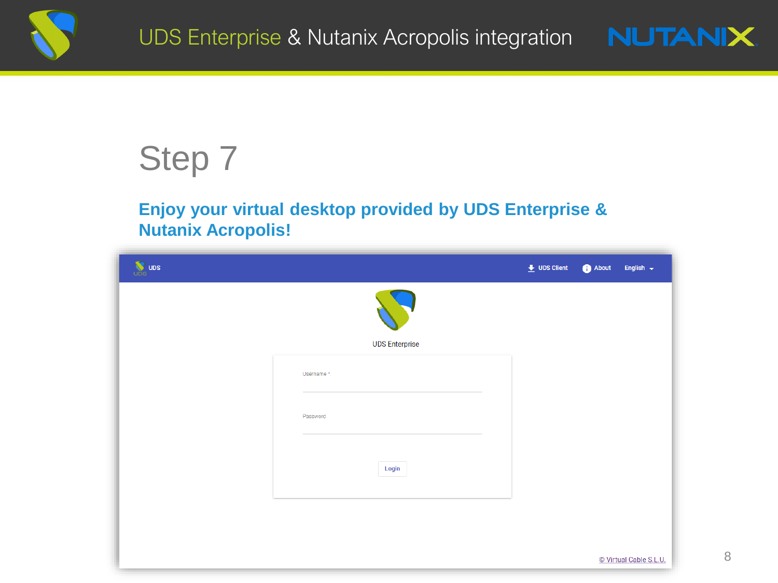



## **Enjoy your virtual desktop provided by UDS Enterprise & Nutanix Acropolis!**

| <b>W</b> UDS |                       | $\overline{\bullet}$ UDS Client | About | English $\sim$         |
|--------------|-----------------------|---------------------------------|-------|------------------------|
|              |                       |                                 |       |                        |
|              | <b>UDS Enterprise</b> |                                 |       |                        |
|              | Username*             |                                 |       |                        |
|              | Password              |                                 |       |                        |
|              | Login                 |                                 |       |                        |
|              |                       |                                 |       |                        |
|              |                       |                                 |       |                        |
|              |                       |                                 |       | © Virtual Cable S.L.U. |